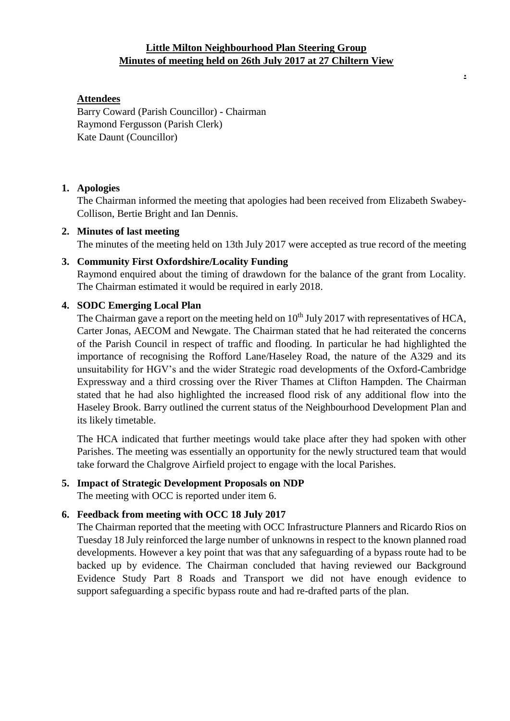## **Little Milton Neighbourhood Plan Steering Group Minutes of meeting held on 26th July 2017 at 27 Chiltern View**

**.**

### **Attendees**

Barry Coward (Parish Councillor) - Chairman Raymond Fergusson (Parish Clerk) Kate Daunt (Councillor)

#### **1. Apologies**

The Chairman informed the meeting that apologies had been received from Elizabeth Swabey-Collison, Bertie Bright and Ian Dennis.

### **2. Minutes of last meeting**

The minutes of the meeting held on 13th July 2017 were accepted as true record of the meeting

# **3. Community First Oxfordshire/Locality Funding** Raymond enquired about the timing of drawdown for the balance of the grant from Locality. The Chairman estimated it would be required in early 2018.

## **4. SODC Emerging Local Plan**

The Chairman gave a report on the meeting held on  $10<sup>th</sup>$  July 2017 with representatives of HCA, Carter Jonas, AECOM and Newgate. The Chairman stated that he had reiterated the concerns of the Parish Council in respect of traffic and flooding. In particular he had highlighted the importance of recognising the Rofford Lane/Haseley Road, the nature of the A329 and its unsuitability for HGV's and the wider Strategic road developments of the Oxford-Cambridge Expressway and a third crossing over the River Thames at Clifton Hampden. The Chairman stated that he had also highlighted the increased flood risk of any additional flow into the Haseley Brook. Barry outlined the current status of the Neighbourhood Development Plan and its likely timetable.

The HCA indicated that further meetings would take place after they had spoken with other Parishes. The meeting was essentially an opportunity for the newly structured team that would take forward the Chalgrove Airfield project to engage with the local Parishes.

# **5. Impact of Strategic Development Proposals on NDP**

The meeting with OCC is reported under item 6.

## **6. Feedback from meeting with OCC 18 July 2017**

The Chairman reported that the meeting with OCC Infrastructure Planners and Ricardo Rios on Tuesday 18 July reinforced the large number of unknowns in respect to the known planned road developments. However a key point that was that any safeguarding of a bypass route had to be backed up by evidence. The Chairman concluded that having reviewed our Background Evidence Study Part 8 Roads and Transport we did not have enough evidence to support safeguarding a specific bypass route and had re-drafted parts of the plan.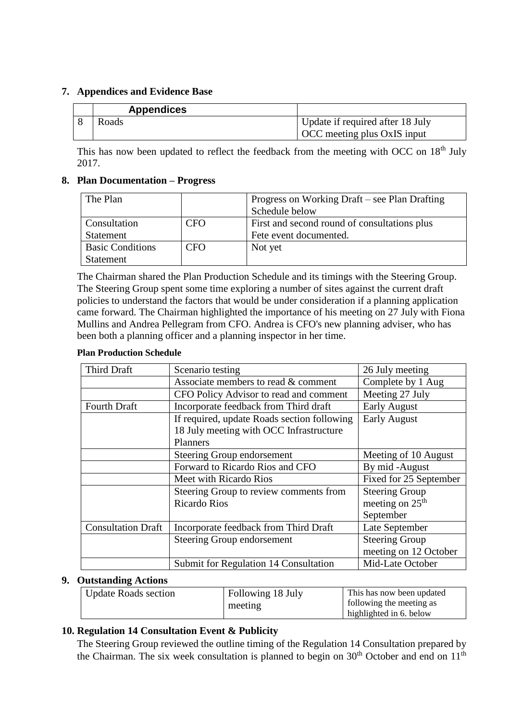#### **7. Appendices and Evidence Base**

| <b>Appendices</b> |                                  |
|-------------------|----------------------------------|
| Roads             | Update if required after 18 July |
|                   | OCC meeting plus OxIS input      |

This has now been updated to reflect the feedback from the meeting with OCC on 18<sup>th</sup> July 2017.

### **8. Plan Documentation – Progress**

| The Plan                   |            | Progress on Working Draft – see Plan Drafting |  |
|----------------------------|------------|-----------------------------------------------|--|
|                            |            | Schedule below                                |  |
| Consultation<br><b>CFO</b> |            | First and second round of consultations plus  |  |
| Statement                  |            | Fete event documented.                        |  |
| <b>Basic Conditions</b>    | <b>CFO</b> | Not yet                                       |  |
| Statement                  |            |                                               |  |

The Chairman shared the Plan Production Schedule and its timings with the Steering Group. The Steering Group spent some time exploring a number of sites against the current draft policies to understand the factors that would be under consideration if a planning application came forward. The Chairman highlighted the importance of his meeting on 27 July with Fiona Mullins and Andrea Pellegram from CFO. Andrea is CFO's new planning adviser, who has been both a planning officer and a planning inspector in her time.

#### **Plan Production Schedule**

| <b>Third Draft</b>        | Scenario testing                                                                                          | 26 July meeting                                                   |
|---------------------------|-----------------------------------------------------------------------------------------------------------|-------------------------------------------------------------------|
|                           | Associate members to read & comment                                                                       |                                                                   |
|                           | CFO Policy Advisor to read and comment                                                                    | Meeting 27 July                                                   |
| <b>Fourth Draft</b>       | Incorporate feedback from Third draft                                                                     | <b>Early August</b>                                               |
|                           | If required, update Roads section following<br>18 July meeting with OCC Infrastructure<br><b>Planners</b> | <b>Early August</b>                                               |
|                           | Steering Group endorsement                                                                                | Meeting of 10 August                                              |
|                           | Forward to Ricardo Rios and CFO                                                                           | By mid-August                                                     |
|                           | Meet with Ricardo Rios                                                                                    | Fixed for 25 September                                            |
|                           | Steering Group to review comments from<br><b>Ricardo Rios</b>                                             | <b>Steering Group</b><br>meeting on 25 <sup>th</sup><br>September |
| <b>Consultation Draft</b> | Incorporate feedback from Third Draft                                                                     | Late September                                                    |
|                           | Steering Group endorsement                                                                                | <b>Steering Group</b><br>meeting on 12 October                    |
|                           | Submit for Regulation 14 Consultation                                                                     | Mid-Late October                                                  |

## **9. Outstanding Actions**

| <b>Update Roads section</b> | Following 18 July | This has now been updated |
|-----------------------------|-------------------|---------------------------|
|                             | meeting           | following the meeting as  |
|                             |                   | highlighted in 6. below   |

## **10. Regulation 14 Consultation Event & Publicity**

The Steering Group reviewed the outline timing of the Regulation 14 Consultation prepared by the Chairman. The six week consultation is planned to begin on  $30<sup>th</sup>$  October and end on  $11<sup>th</sup>$